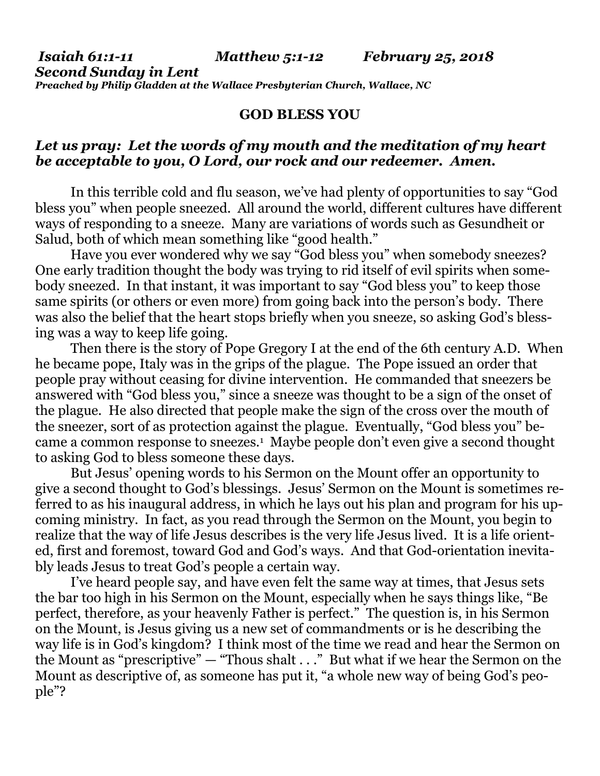## **GOD BLESS YOU**

## *Let us pray: Let the words of my mouth and the meditation of my heart be acceptable to you, O Lord, our rock and our redeemer. Amen.*

In this terrible cold and flu season, we've had plenty of opportunities to say "God bless you" when people sneezed. All around the world, different cultures have different ways of responding to a sneeze. Many are variations of words such as Gesundheit or Salud, both of which mean something like "good health."

Have you ever wondered why we say "God bless you" when somebody sneezes? One early tradition thought the body was trying to rid itself of evil spirits when somebody sneezed. In that instant, it was important to say "God bless you" to keep those same spirits (or others or even more) from going back into the person's body. There was also the belief that the heart stops briefly when you sneeze, so asking God's blessing was a way to keep life going.

Then there is the story of Pope Gregory I at the end of the 6th century A.D. When he became pope, Italy was in the grips of the plague. The Pope issued an order that people pray without ceasing for divine intervention. He commanded that sneezers be answered with "God bless you," since a sneeze was thought to be a sign of the onset of the plague. He also directed that people make the sign of the cross over the mouth of the sneezer, sort of as protection against the plague. Eventually, "God bless you" became a common response to sneezes.<sup>1</sup> Maybe people don't even give a second thought to asking God to bless someone these days.

But Jesus' opening words to his Sermon on the Mount offer an opportunity to give a second thought to God's blessings. Jesus' Sermon on the Mount is sometimes referred to as his inaugural address, in which he lays out his plan and program for his upcoming ministry. In fact, as you read through the Sermon on the Mount, you begin to realize that the way of life Jesus describes is the very life Jesus lived. It is a life oriented, first and foremost, toward God and God's ways. And that God-orientation inevitably leads Jesus to treat God's people a certain way.

I've heard people say, and have even felt the same way at times, that Jesus sets the bar too high in his Sermon on the Mount, especially when he says things like, "Be perfect, therefore, as your heavenly Father is perfect." The question is, in his Sermon on the Mount, is Jesus giving us a new set of commandments or is he describing the way life is in God's kingdom? I think most of the time we read and hear the Sermon on the Mount as "prescriptive" — "Thous shalt . . ." But what if we hear the Sermon on the Mount as descriptive of, as someone has put it, "a whole new way of being God's people"?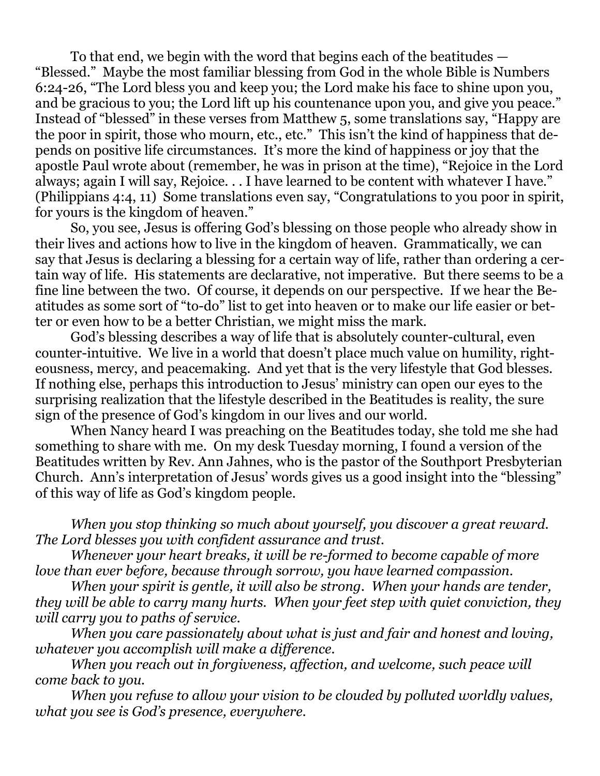To that end, we begin with the word that begins each of the beatitudes — "Blessed." Maybe the most familiar blessing from God in the whole Bible is Numbers 6:24-26, "The Lord bless you and keep you; the Lord make his face to shine upon you, and be gracious to you; the Lord lift up his countenance upon you, and give you peace." Instead of "blessed" in these verses from Matthew 5, some translations say, "Happy are the poor in spirit, those who mourn, etc., etc." This isn't the kind of happiness that depends on positive life circumstances. It's more the kind of happiness or joy that the apostle Paul wrote about (remember, he was in prison at the time), "Rejoice in the Lord always; again I will say, Rejoice. . . I have learned to be content with whatever I have." (Philippians 4:4, 11) Some translations even say, "Congratulations to you poor in spirit, for yours is the kingdom of heaven."

So, you see, Jesus is offering God's blessing on those people who already show in their lives and actions how to live in the kingdom of heaven. Grammatically, we can say that Jesus is declaring a blessing for a certain way of life, rather than ordering a certain way of life. His statements are declarative, not imperative. But there seems to be a fine line between the two. Of course, it depends on our perspective. If we hear the Beatitudes as some sort of "to-do" list to get into heaven or to make our life easier or better or even how to be a better Christian, we might miss the mark.

God's blessing describes a way of life that is absolutely counter-cultural, even counter-intuitive. We live in a world that doesn't place much value on humility, righteousness, mercy, and peacemaking. And yet that is the very lifestyle that God blesses. If nothing else, perhaps this introduction to Jesus' ministry can open our eyes to the surprising realization that the lifestyle described in the Beatitudes is reality, the sure sign of the presence of God's kingdom in our lives and our world.

When Nancy heard I was preaching on the Beatitudes today, she told me she had something to share with me. On my desk Tuesday morning, I found a version of the Beatitudes written by Rev. Ann Jahnes, who is the pastor of the Southport Presbyterian Church. Ann's interpretation of Jesus' words gives us a good insight into the "blessing" of this way of life as God's kingdom people.

*When you stop thinking so much about yourself, you discover a great reward. The Lord blesses you with confident assurance and trust.*

*Whenever your heart breaks, it will be re-formed to become capable of more love than ever before, because through sorrow, you have learned compassion.*

*When your spirit is gentle, it will also be strong. When your hands are tender, they will be able to carry many hurts. When your feet step with quiet conviction, they will carry you to paths of service.*

*When you care passionately about what is just and fair and honest and loving, whatever you accomplish will make a difference.*

*When you reach out in forgiveness, affection, and welcome, such peace will come back to you.*

*When you refuse to allow your vision to be clouded by polluted worldly values, what you see is God's presence, everywhere.*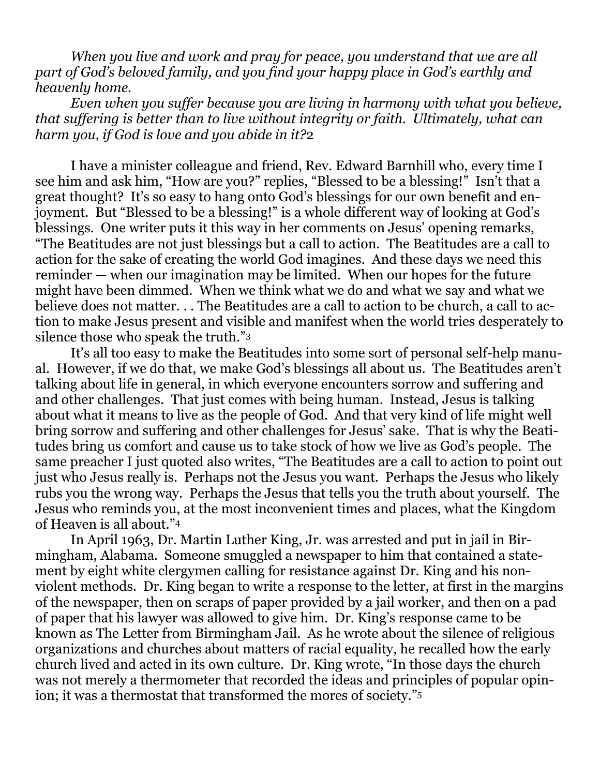*When you live and work and pray for peace, you understand that we are all part of God's beloved family, and you find your happy place in God's earthly and heavenly home.*

*Even when you suffer because you are living in harmony with what you believe, that suffering is better than to live without integrity or faith. Ultimately, what can harm you, if God is love and you abide in it?*2

I have a minister colleague and friend, Rev. Edward Barnhill who, every time I see him and ask him, "How are you?" replies, "Blessed to be a blessing!" Isn't that a great thought? It's so easy to hang onto God's blessings for our own benefit and enjoyment. But "Blessed to be a blessing!" is a whole different way of looking at God's blessings. One writer puts it this way in her comments on Jesus' opening remarks, "The Beatitudes are not just blessings but a call to action. The Beatitudes are a call to action for the sake of creating the world God imagines. And these days we need this reminder — when our imagination may be limited. When our hopes for the future might have been dimmed. When we think what we do and what we say and what we believe does not matter... The Beatitudes are a call to action to be church, a call to action to make Jesus present and visible and manifest when the world tries desperately to silence those who speak the truth." 3

It's all too easy to make the Beatitudes into some sort of personal self-help manual. However, if we do that, we make God's blessings all about us. The Beatitudes aren't talking about life in general, in which everyone encounters sorrow and suffering and and other challenges. That just comes with being human. Instead, Jesus is talking about what it means to live as the people of God. And that very kind of life might well bring sorrow and suffering and other challenges for Jesus' sake. That is why the Beatitudes bring us comfort and cause us to take stock of how we live as God's people. The same preacher I just quoted also writes, "The Beatitudes are a call to action to point out just who Jesus really is. Perhaps not the Jesus you want. Perhaps the Jesus who likely rubs you the wrong way. Perhaps the Jesus that tells you the truth about yourself. The Jesus who reminds you, at the most inconvenient times and places, what the Kingdom of Heaven is all about."<sup>4</sup>

In April 1963, Dr. Martin Luther King, Jr. was arrested and put in jail in Birmingham, Alabama. Someone smuggled a newspaper to him that contained a statement by eight white clergymen calling for resistance against Dr. King and his nonviolent methods. Dr. King began to write a response to the letter, at first in the margins of the newspaper, then on scraps of paper provided by a jail worker, and then on a pad of paper that his lawyer was allowed to give him. Dr. King's response came to be known as The Letter from Birmingham Jail. As he wrote about the silence of religious organizations and churches about matters of racial equality, he recalled how the early church lived and acted in its own culture. Dr. King wrote, "In those days the church was not merely a thermometer that recorded the ideas and principles of popular opinion; it was a thermostat that transformed the mores of society." 5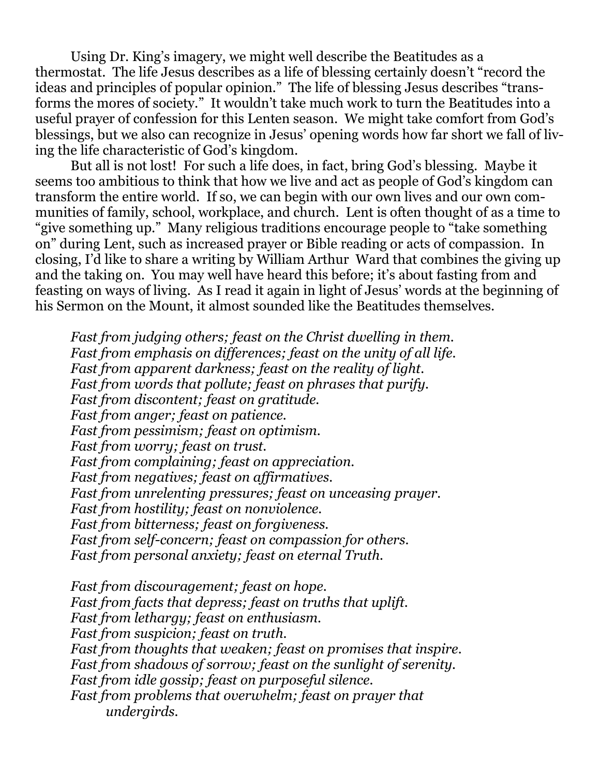Using Dr. King's imagery, we might well describe the Beatitudes as a thermostat. The life Jesus describes as a life of blessing certainly doesn't "record the ideas and principles of popular opinion." The life of blessing Jesus describes "transforms the mores of society." It wouldn't take much work to turn the Beatitudes into a useful prayer of confession for this Lenten season. We might take comfort from God's blessings, but we also can recognize in Jesus' opening words how far short we fall of living the life characteristic of God's kingdom.

But all is not lost! For such a life does, in fact, bring God's blessing. Maybe it seems too ambitious to think that how we live and act as people of God's kingdom can transform the entire world. If so, we can begin with our own lives and our own communities of family, school, workplace, and church. Lent is often thought of as a time to "give something up." Many religious traditions encourage people to "take something on" during Lent, such as increased prayer or Bible reading or acts of compassion. In closing, I'd like to share a writing by William Arthur Ward that combines the giving up and the taking on. You may well have heard this before; it's about fasting from and feasting on ways of living. As I read it again in light of Jesus' words at the beginning of his Sermon on the Mount, it almost sounded like the Beatitudes themselves.

*Fast from judging others; feast on the Christ dwelling in them. Fast from emphasis on differences; feast on the unity of all life. Fast from apparent darkness; feast on the reality of light. Fast from words that pollute; feast on phrases that purify. Fast from discontent; feast on gratitude. Fast from anger; feast on patience. Fast from pessimism; feast on optimism. Fast from worry; feast on trust. Fast from complaining; feast on appreciation. Fast from negatives; feast on affirmatives. Fast from unrelenting pressures; feast on unceasing prayer. Fast from hostility; feast on nonviolence. Fast from bitterness; feast on forgiveness. Fast from self-concern; feast on compassion for others. Fast from personal anxiety; feast on eternal Truth.*

*Fast from discouragement; feast on hope. Fast from facts that depress; feast on truths that uplift. Fast from lethargy; feast on enthusiasm. Fast from suspicion; feast on truth. Fast from thoughts that weaken; feast on promises that inspire. Fast from shadows of sorrow; feast on the sunlight of serenity. Fast from idle gossip; feast on purposeful silence. Fast from problems that overwhelm; feast on prayer that undergirds.*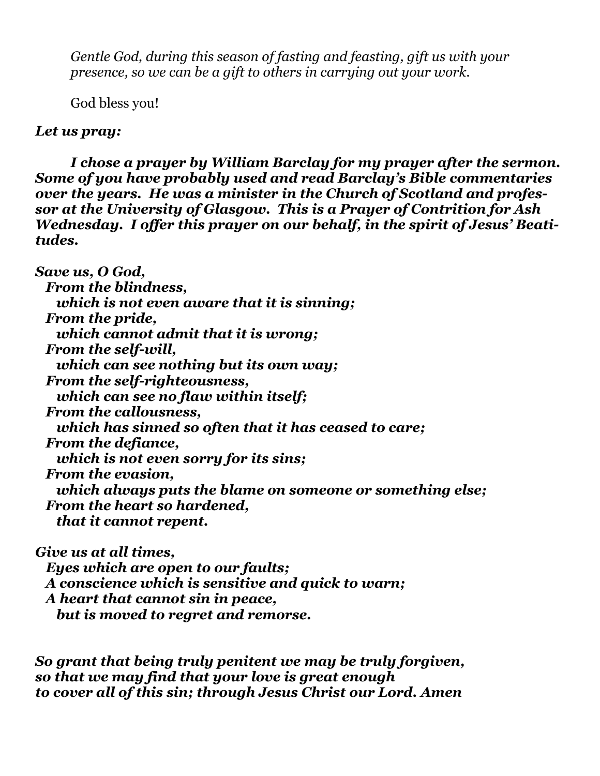*Gentle God, during this season of fasting and feasting, gift us with your presence, so we can be a gift to others in carrying out your work.*

God bless you!

## *Let us pray:*

*I chose a prayer by William Barclay for my prayer after the sermon. Some of you have probably used and read Barclay's Bible commentaries over the years. He was a minister in the Church of Scotland and professor at the University of Glasgow. This is a Prayer of Contrition for Ash Wednesday. I offer this prayer on our behalf, in the spirit of Jesus' Beatitudes.*

*Save us, O God, From the blindness, which is not even aware that it is sinning; From the pride, which cannot admit that it is wrong; From the self-will, which can see nothing but its own way; From the self-righteousness, which can see no flaw within itself; From the callousness, which has sinned so often that it has ceased to care; From the defiance, which is not even sorry for its sins; From the evasion, which always puts the blame on someone or something else; From the heart so hardened, that it cannot repent.*

*Give us at all times, Eyes which are open to our faults; A conscience which is sensitive and quick to warn; A heart that cannot sin in peace, but is moved to regret and remorse.*

*So grant that being truly penitent we may be truly forgiven, so that we may find that your love is great enough to cover all of this sin; through Jesus Christ our Lord. Amen*